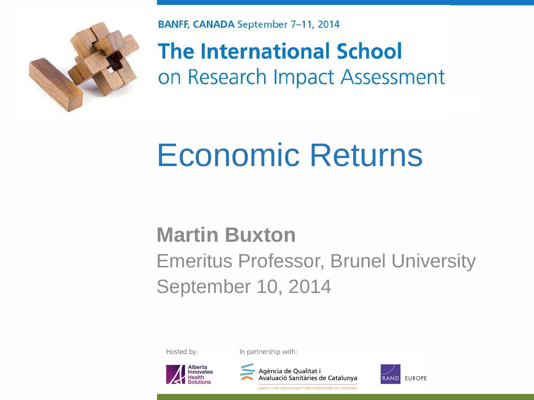

**BANFF, CANADA September 7-11, 2014** 

**The International School** on Research Impact Assessment

#### Economic Returns

#### **Martin Buxton**

#### Emeritus Professor, Brunel University September 10, 2014

Hosted by:

In partnership with:





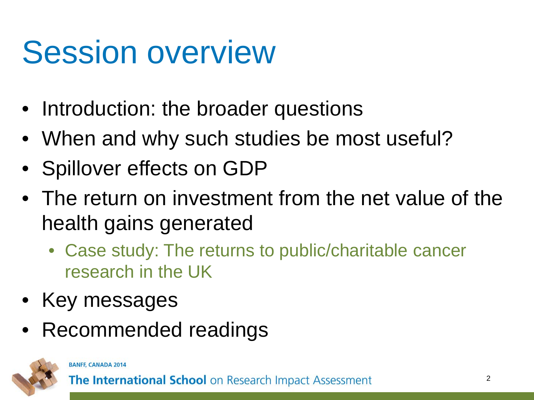#### Session overview

- Introduction: the broader questions
- When and why such studies be most useful?
- Spillover effects on GDP
- The return on investment from the net value of the health gains generated
	- Case study: The returns to public/charitable cancer research in the UK
- Key messages
- Recommended readings



#### **BANFF, CANADA 2014**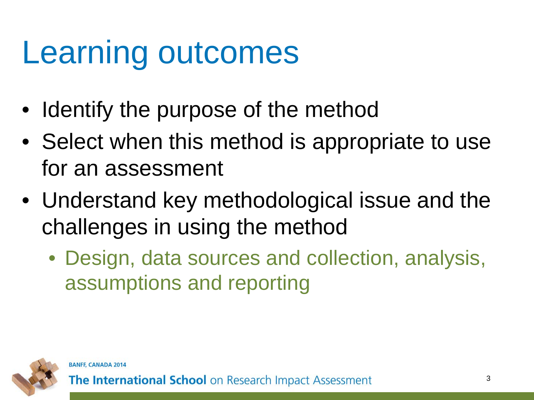#### Learning outcomes

- Identify the purpose of the method
- Select when this method is appropriate to use for an assessment
- Understand key methodological issue and the challenges in using the method
	- Design, data sources and collection, analysis, assumptions and reporting

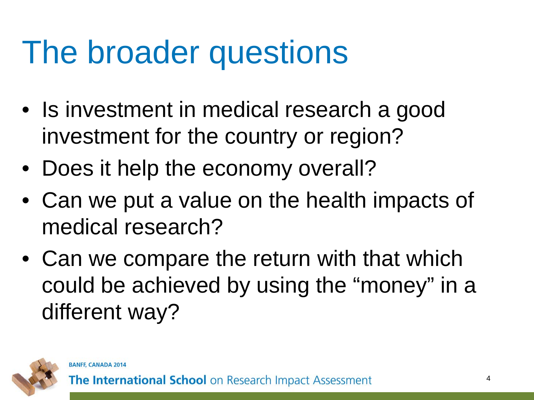#### The broader questions

- Is investment in medical research a good investment for the country or region?
- Does it help the economy overall?
- Can we put a value on the health impacts of medical research?
- Can we compare the return with that which could be achieved by using the "money" in a different way?

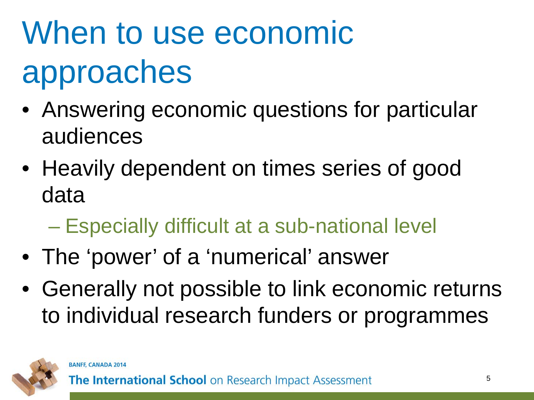# When to use economic approaches

- Answering economic questions for particular audiences
- Heavily dependent on times series of good data
	- Especially difficult at a sub-national level
- The 'power' of a 'numerical' answer
- Generally not possible to link economic returns to individual research funders or programmes

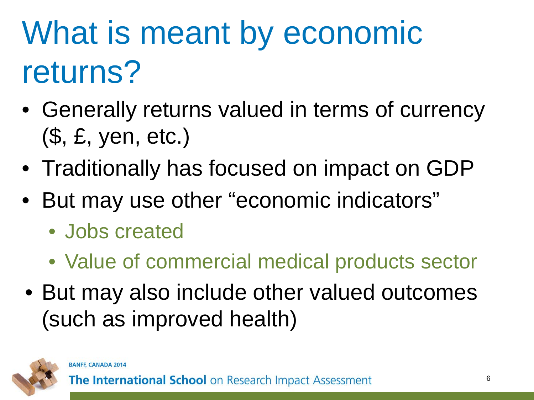## What is meant by economic returns?

- Generally returns valued in terms of currency (\$, £, yen, etc.)
- Traditionally has focused on impact on GDP
- But may use other "economic indicators"
	- Jobs created
	- Value of commercial medical products sector
- But may also include other valued outcomes (such as improved health)

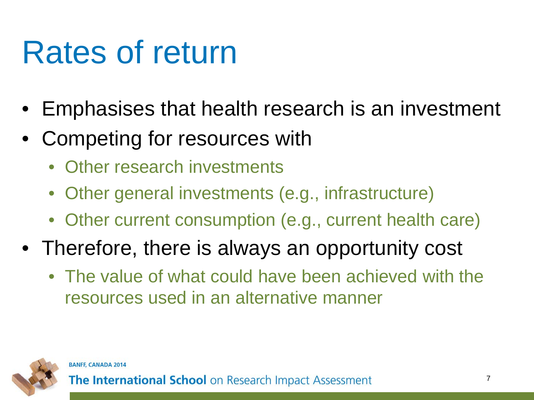#### Rates of return

- Emphasises that health research is an investment
- Competing for resources with
	- Other research investments
	- Other general investments (e.g., infrastructure)
	- Other current consumption (e.g., current health care)
- Therefore, there is always an opportunity cost
	- The value of what could have been achieved with the resources used in an alternative manner

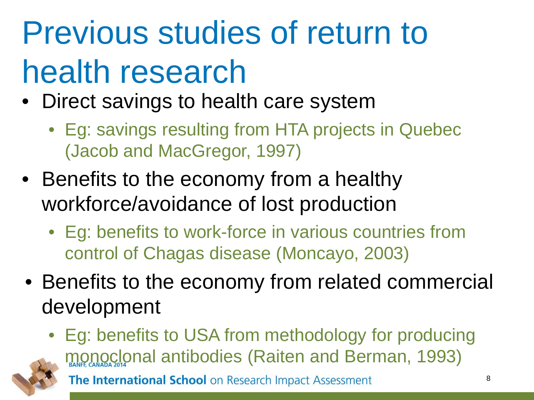# Previous studies of return to health research

- Direct savings to health care system
	- Eg: savings resulting from HTA projects in Quebec (Jacob and MacGregor, 1997)
- Benefits to the economy from a healthy workforce/avoidance of lost production
	- Eg: benefits to work-force in various countries from control of Chagas disease (Moncayo, 2003)
- Benefits to the economy from related commercial development

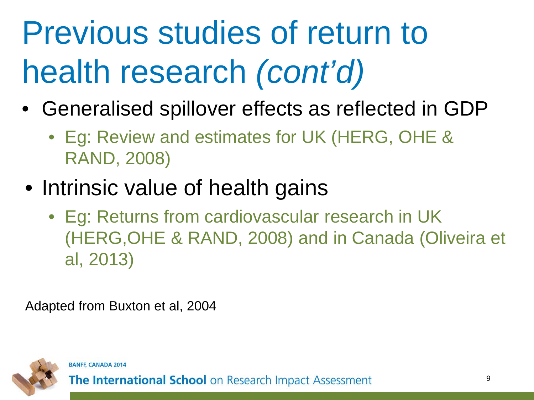# Previous studies of return to health research *(cont'd)*

- Generalised spillover effects as reflected in GDP
	- Eg: Review and estimates for UK (HERG, OHE & RAND, 2008)
- Intrinsic value of health gains
	- Eg: Returns from cardiovascular research in UK (HERG,OHE & RAND, 2008) and in Canada (Oliveira et al, 2013)

Adapted from Buxton et al, 2004

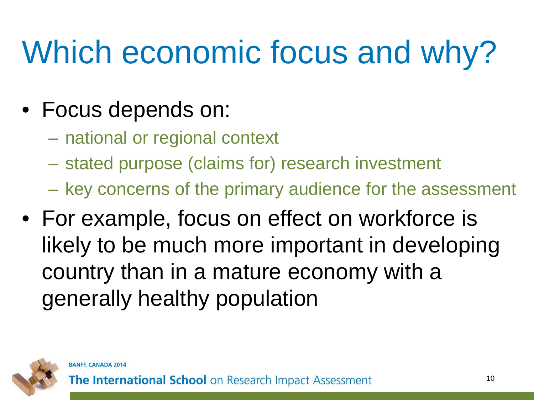## Which economic focus and why?

- Focus depends on:
	- national or regional context
	- stated purpose (claims for) research investment
	- key concerns of the primary audience for the assessment
- For example, focus on effect on workforce is likely to be much more important in developing country than in a mature economy with a generally healthy population

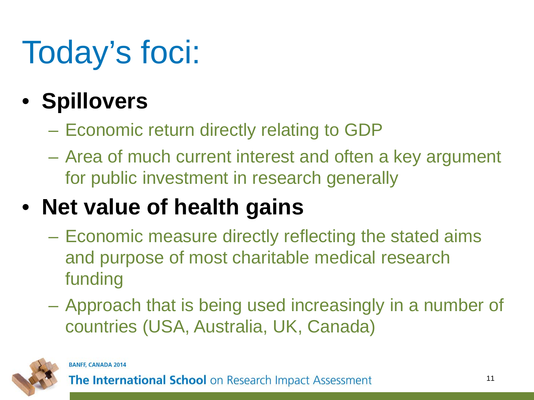# Today's foci:

#### • **Spillovers**

- Economic return directly relating to GDP
- Area of much current interest and often a key argument for public investment in research generally

#### • **Net value of health gains**

- Economic measure directly reflecting the stated aims and purpose of most charitable medical research funding
- Approach that is being used increasingly in a number of countries (USA, Australia, UK, Canada)

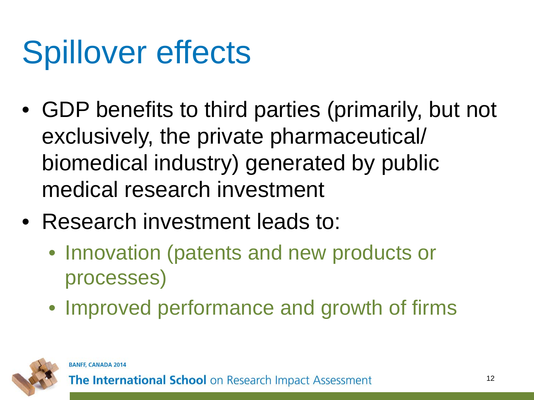### Spillover effects

- GDP benefits to third parties (primarily, but not exclusively, the private pharmaceutical/ biomedical industry) generated by public medical research investment
- Research investment leads to:
	- Innovation (patents and new products or processes)
	- Improved performance and growth of firms

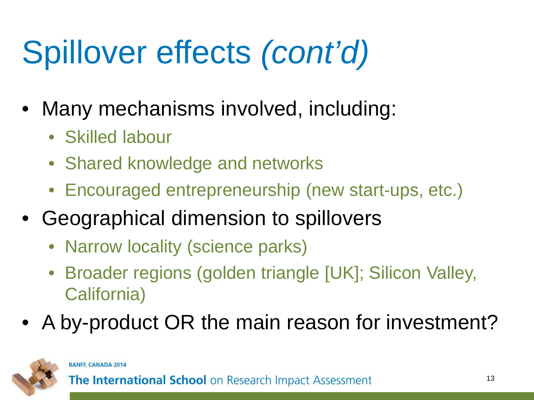# Spillover effects *(cont'd)*

- Many mechanisms involved, including:
	- Skilled labour
	- Shared knowledge and networks
	- Encouraged entrepreneurship (new start-ups, etc.)
- Geographical dimension to spillovers
	- Narrow locality (science parks)
	- Broader regions (golden triangle [UK]; Silicon Valley, California)
- A by-product OR the main reason for investment?



#### **BANFF, CANADA 2014**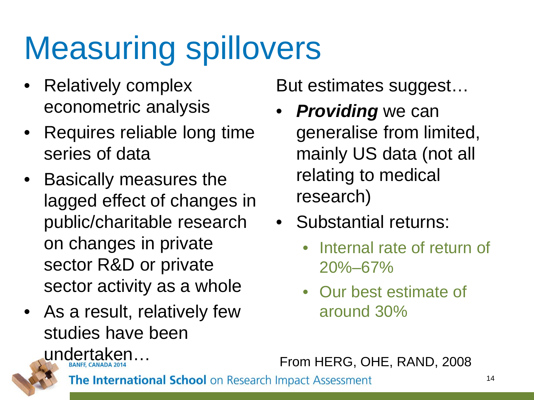#### Measuring spillovers

- Relatively complex econometric analysis
- Requires reliable long time series of data
- Basically measures the lagged effect of changes in public/charitable research on changes in private sector R&D or private sector activity as a whole
- As a result, relatively few studies have been undertaken…

But estimates suggest…

- **Providing** we can generalise from limited, mainly US data (not all relating to medical research)
- Substantial returns:
	- Internal rate of return of 20%–67%
	- Our best estimate of around 30%

From HERG, OHE, RAND, 2008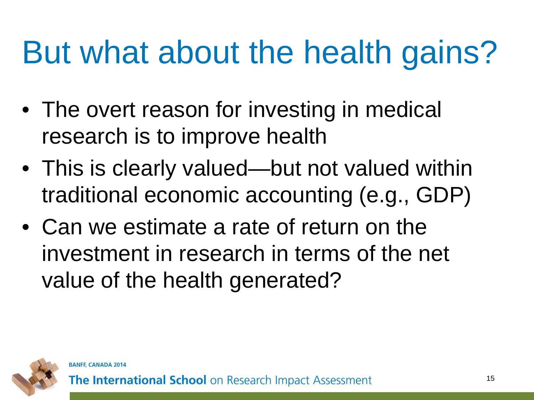### But what about the health gains?

- The overt reason for investing in medical research is to improve health
- This is clearly valued—but not valued within traditional economic accounting (e.g., GDP)
- Can we estimate a rate of return on the investment in research in terms of the net value of the health generated?

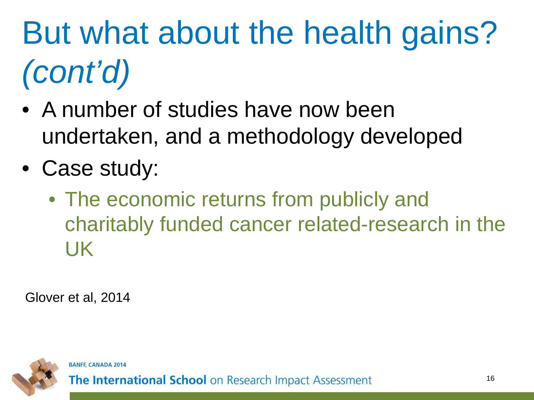# But what about the health gains? *(cont'd)*

- A number of studies have now been undertaken, and a methodology developed
- Case study:
	- The economic returns from publicly and charitably funded cancer related-research in the UK

Glover et al, 2014

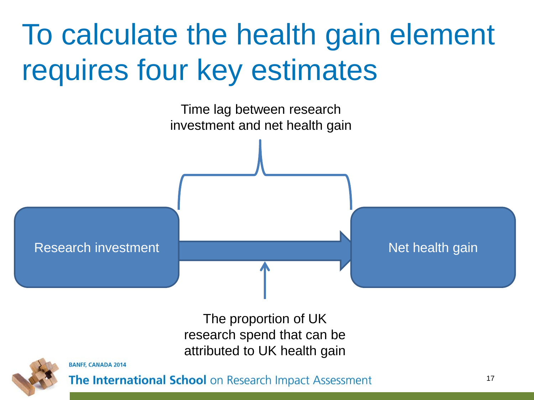#### To calculate the health gain element requires four key estimates



The proportion of UK research spend that can be attributed to UK health gain



**BANFF, CANADA 2014**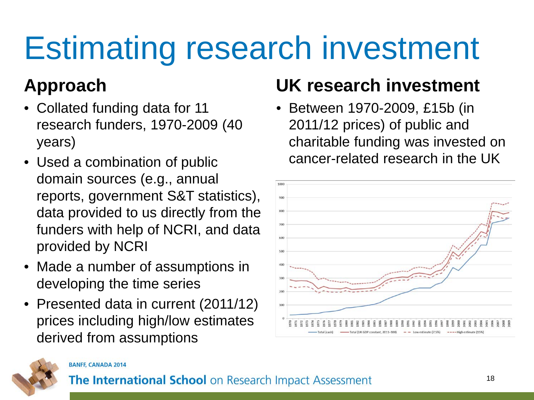### Estimating research investment

#### **Approach**

- Collated funding data for 11 research funders, 1970-2009 (40 years)
- Used a combination of public domain sources (e.g., annual reports, government S&T statistics), data provided to us directly from the funders with help of NCRI, and data provided by NCRI
- Made a number of assumptions in developing the time series
- Presented data in current (2011/12) prices including high/low estimates derived from assumptions

#### **UK research investment**

• Between 1970-2009, £15b (in 2011/12 prices) of public and charitable funding was invested on cancer-related research in the UK





#### **BANFF, CANADA 2014**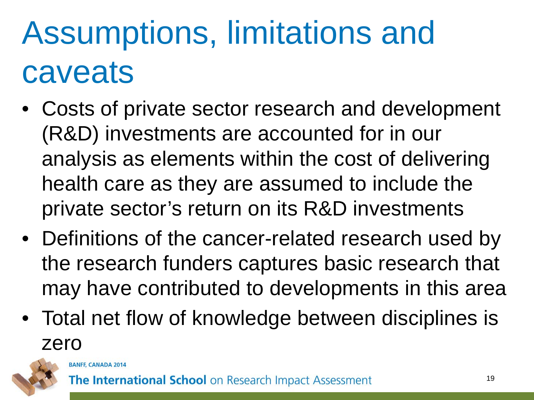### Assumptions, limitations and caveats

- Costs of private sector research and development (R&D) investments are accounted for in our analysis as elements within the cost of delivering health care as they are assumed to include the private sector's return on its R&D investments
- Definitions of the cancer-related research used by the research funders captures basic research that may have contributed to developments in this area
- Total net flow of knowledge between disciplines is zero

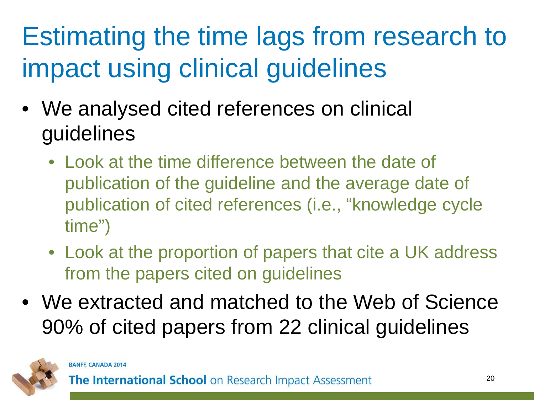#### Estimating the time lags from research to impact using clinical guidelines

- We analysed cited references on clinical guidelines
	- Look at the time difference between the date of publication of the guideline and the average date of publication of cited references (i.e., "knowledge cycle time")
	- Look at the proportion of papers that cite a UK address from the papers cited on guidelines
- We extracted and matched to the Web of Science 90% of cited papers from 22 clinical guidelines

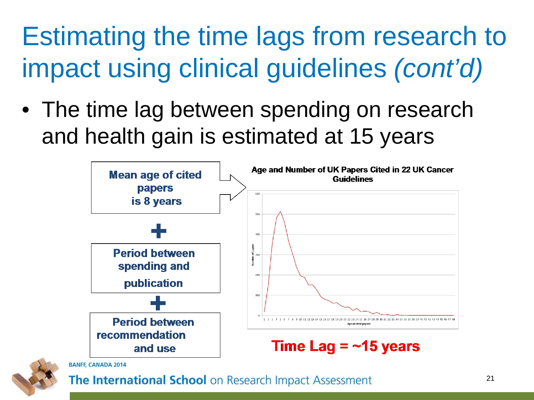#### Estimating the time lags from research to impact using clinical guidelines *(cont'd)*

• The time lag between spending on research and health gain is estimated at 15 years



![](_page_20_Picture_3.jpeg)

**BANFF, CANADA 2014**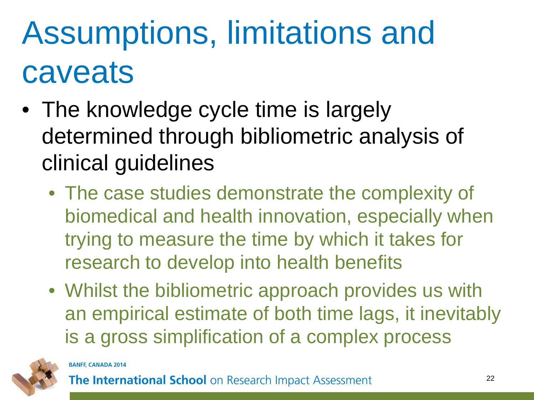### Assumptions, limitations and caveats

- The knowledge cycle time is largely determined through bibliometric analysis of clinical guidelines
	- The case studies demonstrate the complexity of biomedical and health innovation, especially when trying to measure the time by which it takes for research to develop into health benefits
	- Whilst the bibliometric approach provides us with an empirical estimate of both time lags, it inevitably is a gross simplification of a complex process

![](_page_21_Picture_4.jpeg)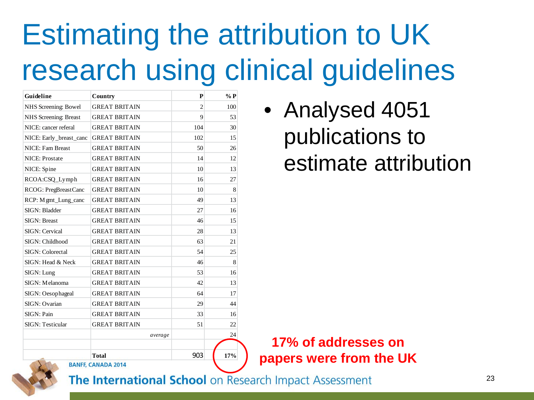#### Estimating the attribution to UK research using clinical guidelines

| Guideline                    | Country                                   | P              | $\%$ P |
|------------------------------|-------------------------------------------|----------------|--------|
| NHS Screening: Bowel         | <b>GREAT BRITAIN</b>                      | $\overline{2}$ | 100    |
| <b>NHS</b> Screening: Breast | <b>GREAT BRITAIN</b>                      | 9              | 53     |
| NICE: cancer referal         | <b>GREAT BRITAIN</b>                      | 104            | 30     |
| NICE: Early_breast_canc      | <b>GREAT BRITAIN</b>                      | 102            | 15     |
| NICE: Fam Breast             | <b>GREAT BRITAIN</b>                      | 50             | 26     |
| <b>NICE: Prostate</b>        | <b>GREAT BRITAIN</b>                      | 14             | 12     |
| NICE: Spine                  | <b>GREAT BRITAIN</b>                      | 10             | 13     |
| RCOA:CSQ_Lymph               | <b>GREAT BRITAIN</b>                      | 16             | 27     |
| RCOG: PregBreastCanc         | <b>GREAT BRITAIN</b>                      | 10             | 8      |
| RCP: M gmt_Lung_canc         | <b>GREAT BRITAIN</b>                      | 49             | 13     |
| SIGN: Bladder                | <b>GREAT BRITAIN</b>                      | 27             | 16     |
| <b>SIGN: Breast</b>          | <b>GREAT BRITAIN</b>                      | 46             | 15     |
| SIGN: Cervical               | <b>GREAT BRITAIN</b>                      | 28             | 13     |
| SIGN: Childhood              | <b>GREAT BRITAIN</b>                      | 63             | 21     |
| SIGN: Colorectal             | <b>GREAT BRITAIN</b>                      | 54             | 25     |
| SIGN: Head & Neck            | <b>GREAT BRITAIN</b>                      | 46             | 8      |
| SIGN: Lung                   | <b>GREAT BRITAIN</b>                      | 53             | 16     |
| SIGN: Melanoma               | <b>GREAT BRITAIN</b>                      | 42             | 13     |
| SIGN: Oesophageal            | <b>GREAT BRITAIN</b>                      | 64             | 17     |
| SIGN: Ovarian                | <b>GREAT BRITAIN</b>                      | 29             | 44     |
| SIGN: Pain                   | <b>GREAT BRITAIN</b>                      | 33             | 16     |
| <b>SIGN: Testicular</b>      | <b>GREAT BRITAIN</b>                      | 51             | 22     |
|                              | average                                   |                | 24     |
|                              |                                           |                |        |
|                              | <b>Total</b><br><b>BANFF, CANADA 2014</b> | 903            | 17%    |

• Analysed 4051 publications to estimate attribution

**17% of addresses on papers were from the UK**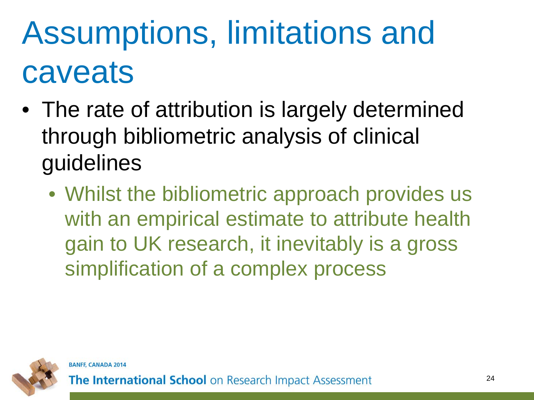### Assumptions, limitations and caveats

- The rate of attribution is largely determined through bibliometric analysis of clinical guidelines
	- Whilst the bibliometric approach provides us with an empirical estimate to attribute health gain to UK research, it inevitably is a gross simplification of a complex process

![](_page_23_Picture_3.jpeg)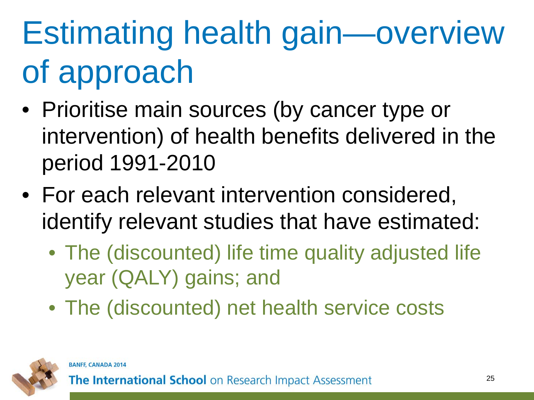# Estimating health gain—overview of approach

- Prioritise main sources (by cancer type or intervention) of health benefits delivered in the period 1991-2010
- For each relevant intervention considered, identify relevant studies that have estimated:
	- The (discounted) life time quality adjusted life year (QALY) gains; and
	- The (discounted) net health service costs

![](_page_24_Picture_5.jpeg)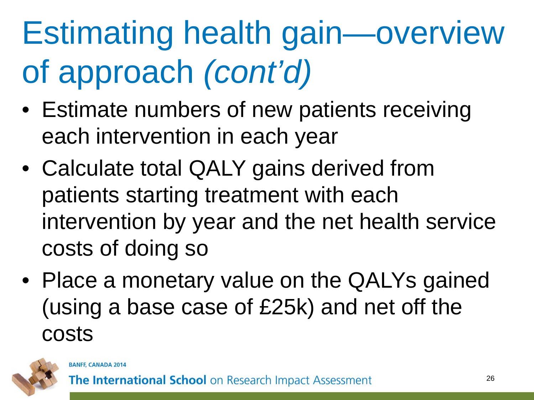# Estimating health gain—overview of approach *(cont'd)*

- Estimate numbers of new patients receiving each intervention in each year
- Calculate total QALY gains derived from patients starting treatment with each intervention by year and the net health service costs of doing so
- Place a monetary value on the QALYs gained (using a base case of £25k) and net off the costs

![](_page_25_Picture_4.jpeg)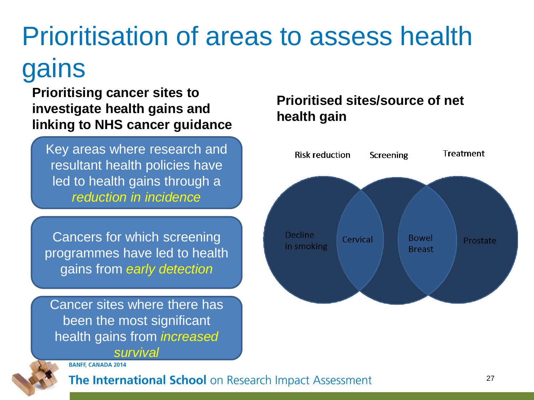#### Prioritisation of areas to assess health gains

**Prioritising cancer sites to investigate health gains and linking to NHS cancer guidance**

Key areas where research and resultant health policies have led to health gains through a *reduction in incidence*

Cancers for which screening programmes have led to health gains from *early detection*

Cancer sites where there has been the most significant health gains from *increased survival*

#### **BANFF, CANADA 2014**

![](_page_26_Picture_6.jpeg)

#### The International School on Research Impact Assessment

#### **Prioritised sites/source of net health gain**

![](_page_26_Figure_9.jpeg)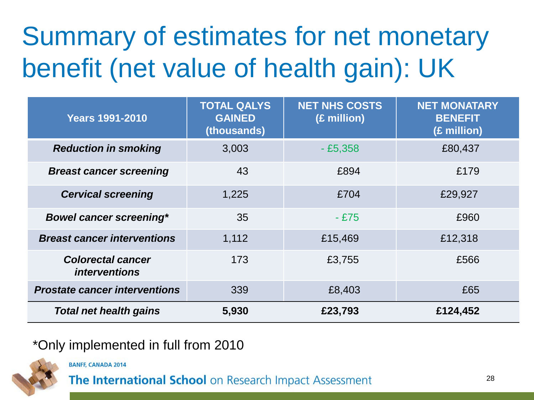#### Summary of estimates for net monetary benefit (net value of health gain): UK

| <b>Years 1991-2010</b>                           | <b>TOTAL QALYS</b><br><b>GAINED</b><br>(thousands) | <b>NET NHS COSTS</b><br>(£ million) | <b>NET MONATARY</b><br><b>BENEFIT</b><br>(£ million) |
|--------------------------------------------------|----------------------------------------------------|-------------------------------------|------------------------------------------------------|
| <b>Reduction in smoking</b>                      | 3,003                                              | $-£5,358$                           | £80,437                                              |
| <b>Breast cancer screening</b>                   | 43                                                 | £894                                | £179                                                 |
| <b>Cervical screening</b>                        | 1,225                                              | £704                                | £29,927                                              |
| <b>Bowel cancer screening*</b>                   | 35                                                 | $-£75$                              | £960                                                 |
| <b>Breast cancer interventions</b>               | 1,112                                              | £15,469                             | £12,318                                              |
| <b>Colorectal cancer</b><br><i>interventions</i> | 173                                                | £3,755                              | £566                                                 |
| <b>Prostate cancer interventions</b>             | 339                                                | £8,403                              | £65                                                  |
| <b>Total net health gains</b>                    | 5,930                                              | £23,793                             | £124,452                                             |

#### \*Only implemented in full from 2010

**BANFF, CANADA 2014**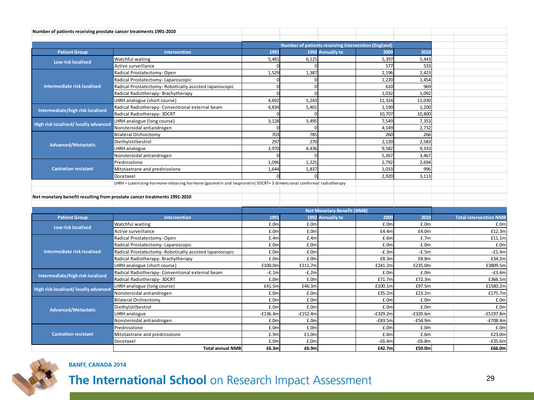| Number of patients receiving prostate cancer treatments 1991-2010 |                                                                                                                     |            |                   |                                                     |            |            |                               |
|-------------------------------------------------------------------|---------------------------------------------------------------------------------------------------------------------|------------|-------------------|-----------------------------------------------------|------------|------------|-------------------------------|
|                                                                   |                                                                                                                     |            |                   |                                                     |            |            |                               |
|                                                                   |                                                                                                                     |            |                   | Number of patients receiving intervention (England) |            |            |                               |
| <b>Patient Group</b>                                              | Intervention                                                                                                        | 1991       |                   | 1992 Annually to                                    | 2009       | 2010       |                               |
| Low risk localised                                                | Watchful waiting                                                                                                    | 5,481      | 6.125             |                                                     | 5,397      | 5,443      |                               |
|                                                                   | Active surveillance                                                                                                 |            |                   |                                                     | 577        | 533        |                               |
|                                                                   | Radical Prostatectomy-Open                                                                                          | 1,529      | 1,387             |                                                     | 2,196      | 2,423      |                               |
|                                                                   | Radical Prostatectomy-Laparoscopic                                                                                  |            |                   |                                                     | 1,220      | 1.454      |                               |
| Intermediate risk localised                                       | Radical Prostatectomy- Robotically assisted laparoscopic                                                            | $\Omega$   | $\Omega$          |                                                     | 610        | 969        |                               |
|                                                                   | Radical Radiotherapy- Brachytherapy                                                                                 |            |                   |                                                     | 1,032      | 1,092      |                               |
|                                                                   | LHRH analogue (short course)                                                                                        | 4.692      | 5,243             |                                                     | 11,324     | 11.030     |                               |
| Intermediate/high risk localised                                  | Radical Radiotherapy- Conventional external beam                                                                    | 4,834      | 5,401             |                                                     | 1,190      | 1,200      |                               |
|                                                                   | Radical Radiotherapy- 3DCRT                                                                                         |            |                   |                                                     | 10,707     | 10,800     |                               |
| High risk localised/ locally advanced                             | LHRH analogue (long course)                                                                                         | 3,128      | 3.495             |                                                     | 7,549      | 7,353      |                               |
|                                                                   | Nonsteroidal antiandrogen                                                                                           |            |                   |                                                     | 4,149      | 2,732      |                               |
|                                                                   | <b>Bilateral Orchiectomy</b>                                                                                        | 703        | 785               |                                                     | 260        | 266        |                               |
| <b>Advanced/Metastatic</b>                                        | Diethylstilbestrol                                                                                                  | 297        | 270               |                                                     | 2,120      | 2,583      |                               |
|                                                                   | LHRH analogue                                                                                                       | 3,970      | 4,436             |                                                     | 9,582      | 9,333      |                               |
|                                                                   | Nonsteroidal antiandrogen                                                                                           |            |                   |                                                     | 5,267      | 3,467      |                               |
|                                                                   | Prednisolone                                                                                                        | 1,096      | 1,225             |                                                     | 2,792      | 2,694      |                               |
| <b>Castration resistant</b>                                       | Mitotaxtrane and prednisolone                                                                                       | 1,644      | 1,837             |                                                     | 1,033      | 996        |                               |
|                                                                   | Docetaxel                                                                                                           |            |                   |                                                     | 2,920      | 3,113      |                               |
|                                                                   | LHRH = Luteinizing-hormone-releasing hormone (goserelin and leuprorelin) 3DCRT=3 dimensional conformal radiotherapy |            |                   |                                                     |            |            |                               |
|                                                                   |                                                                                                                     |            |                   |                                                     |            |            |                               |
|                                                                   | Net monetary benefit resulting from prostate cancer treatments 1991-2010                                            |            |                   |                                                     |            |            |                               |
|                                                                   |                                                                                                                     |            |                   |                                                     |            |            |                               |
|                                                                   |                                                                                                                     |            |                   | <b>Net Monetary Benefit (NMB)</b>                   |            |            |                               |
| <b>Patient Group</b>                                              | <b>Intervention</b>                                                                                                 | 1991       |                   | 1992 Annually to                                    | 2009       | 2010       | <b>Total intervention NMB</b> |
| Low risk localised                                                | Watchful waiting                                                                                                    | £.0m       | £.0m              |                                                     | £.0m       | £.0m       | £.0m                          |
|                                                                   | Active surveillance                                                                                                 | £.0m       | £.0m              |                                                     | £4.4m      | £4.0m      | £12.3m                        |
|                                                                   | Radical Prostatectomy-Open                                                                                          | f.4m       | f.4m              |                                                     | E.6m       | E.7m       | £11.1m                        |
|                                                                   | Radical Prostatectomy-Laparoscopic                                                                                  | £.0m       | £.0m              |                                                     | £.0m       | £.0m       | £.0m                          |
| <b>Intermediate risk localised</b>                                | Radical Prostatectomy-Robotically assisted laparoscopic                                                             | E.0m       | £.0 <sub>m</sub>  |                                                     | $-E.3m$    | $-E.5m$    | $-E1.4m$                      |
|                                                                   | Radical Radiotherapy- Brachytherapy                                                                                 | £.0m       | £.0m              |                                                     | £8.3m      | £8.8m      | £34.2m                        |
|                                                                   | LHRH analogue (short course)                                                                                        | £100.0m    | £111.7m           |                                                     | £241.2m    | £235.0m    | £3809.5m                      |
| Intermediate/high risk localised                                  | Radical Radiotherapy- Conventional external beam                                                                    | $-E.1m$    | $-E.2m$           |                                                     | £.0m       | E.0m       | $-E3.4m$                      |
|                                                                   | Radical Radiotherapy- 3DCRT                                                                                         | £.0m       | £.0m              |                                                     | £71.7m     | £72.3m     | £366.5m                       |
| High risk localised/ locally advanced                             | LHRH analogue (long course)                                                                                         | £41.5m     | £46.3m            |                                                     | £100.1m    | £97.5m     | £1580.2m                      |
|                                                                   | Nonsteroidal antiandrogen                                                                                           | £.0m       | £.0m              |                                                     | £35.2m     | £23.2m     | £175.7m                       |
| <b>Advanced/Metastatic</b>                                        | <b>Bilateral Orchiectomy</b>                                                                                        | £.0m       | £.0m              |                                                     | £.0m       | £.0m       | £.0m                          |
|                                                                   | Diethylstilbestrol                                                                                                  | £.0m       | £.0m              |                                                     | £.0m       | £.0m       | £.0m                          |
|                                                                   | LHRH analogue                                                                                                       | $-£136.4m$ | $-f152.4m$        |                                                     | $-E329.2m$ | $-E320.6m$ | -£5197.8m                     |
|                                                                   | Nonsteroidal antiandrogen                                                                                           | £.0m       | f.0r              |                                                     | $-E83.5m$  | $-E54.9m$  | $-E708.4m$                    |
|                                                                   | Prednisolone                                                                                                        | £.0m       | £.0m              |                                                     | £.0m       | £.0m       | £.0m                          |
| <b>Castration resistant</b>                                       | Mitotaxtrane and prednisolone                                                                                       | £.9m       | £1.0 <sub>0</sub> |                                                     | E.6m       | E.6m       | £23.0m                        |
|                                                                   | Docetaxel                                                                                                           | £.0m       | £.0m              |                                                     | $-E6.4m$   | $-E6.8m$   | $-E35.6m$                     |
|                                                                   | <b>Total annual NMB</b>                                                                                             | £6.3m      | £6.9m             |                                                     | £42.7m     | £59.0m     | £66.0m                        |

![](_page_28_Picture_1.jpeg)

#### **BANFF, CANADA 2014**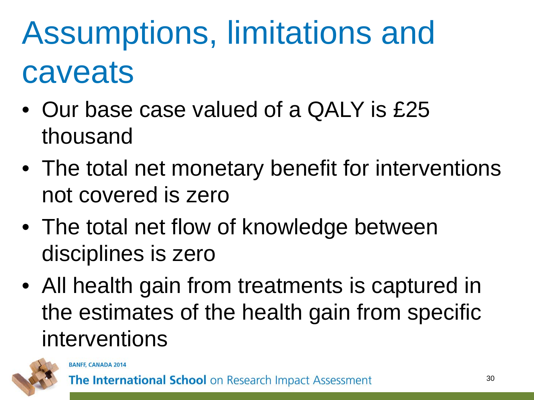### Assumptions, limitations and caveats

- Our base case valued of a QALY is £25 thousand
- The total net monetary benefit for interventions not covered is zero
- The total net flow of knowledge between disciplines is zero
- All health gain from treatments is captured in the estimates of the health gain from specific interventions

![](_page_29_Picture_5.jpeg)

**BANFF, CANADA 2014**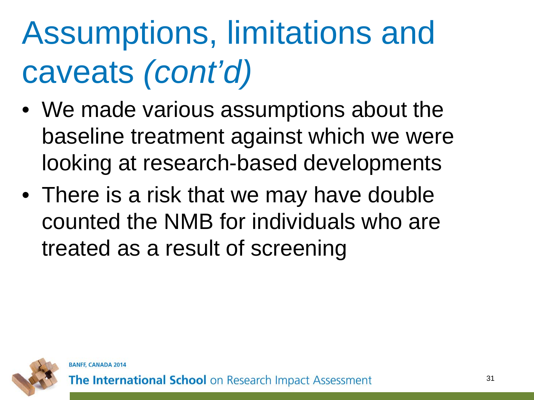## Assumptions, limitations and caveats *(cont'd)*

- We made various assumptions about the baseline treatment against which we were looking at research-based developments
- There is a risk that we may have double counted the NMB for individuals who are treated as a result of screening

![](_page_30_Picture_3.jpeg)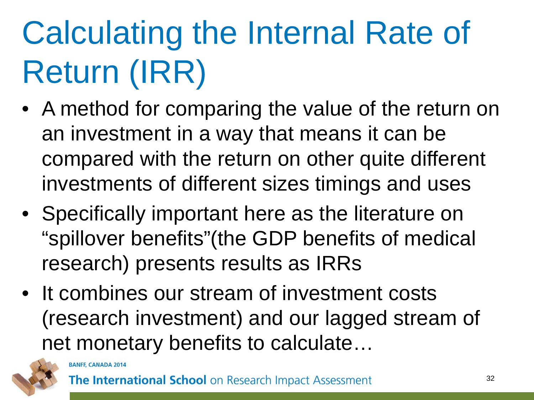# Calculating the Internal Rate of Return (IRR)

- A method for comparing the value of the return on an investment in a way that means it can be compared with the return on other quite different investments of different sizes timings and uses
- Specifically important here as the literature on "spillover benefits"(the GDP benefits of medical research) presents results as IRRs
- It combines our stream of investment costs (research investment) and our lagged stream of net monetary benefits to calculate…

![](_page_31_Picture_4.jpeg)

**BANFF, CANADA 2014**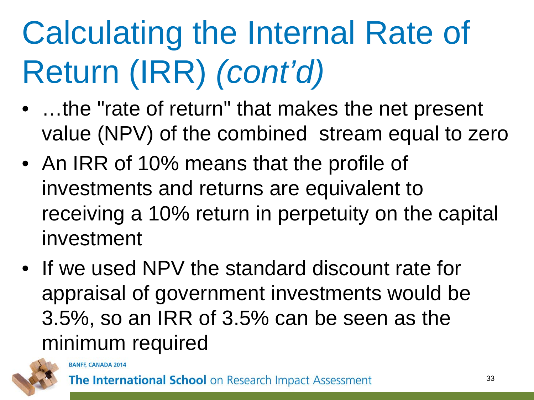# Calculating the Internal Rate of Return (IRR) *(cont'd)*

- ...the "rate of return" that makes the net present value (NPV) of the combined stream equal to zero
- An IRR of 10% means that the profile of investments and returns are equivalent to receiving a 10% return in perpetuity on the capital investment
- If we used NPV the standard discount rate for appraisal of government investments would be 3.5%, so an IRR of 3.5% can be seen as the minimum required

![](_page_32_Picture_4.jpeg)

**BANFF, CANADA 2014**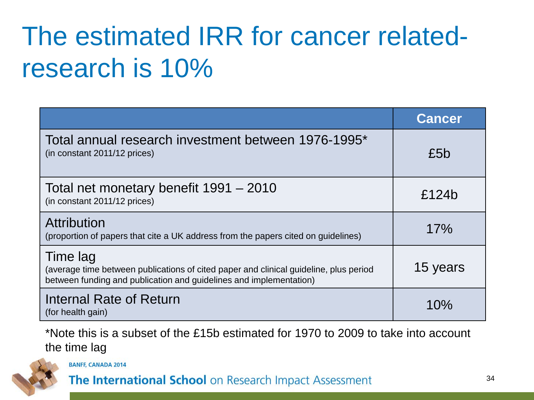#### The estimated IRR for cancer relatedresearch is 10%

|                                                                                                                                                                         | <b>Cancer</b> |
|-------------------------------------------------------------------------------------------------------------------------------------------------------------------------|---------------|
| Total annual research investment between 1976-1995*<br>(in constant 2011/12 prices)                                                                                     | £5b           |
| Total net monetary benefit 1991 - 2010<br>(in constant 2011/12 prices)                                                                                                  | £124b         |
| Attribution<br>(proportion of papers that cite a UK address from the papers cited on guidelines)                                                                        | 17%           |
| Time lag<br>(average time between publications of cited paper and clinical guideline, plus period<br>between funding and publication and guidelines and implementation) | 15 years      |
| Internal Rate of Return<br>(for health gain)                                                                                                                            | 10%           |

\*Note this is a subset of the £15b estimated for 1970 to 2009 to take into account the time lag

![](_page_33_Picture_3.jpeg)

**BANFF, CANADA 2014**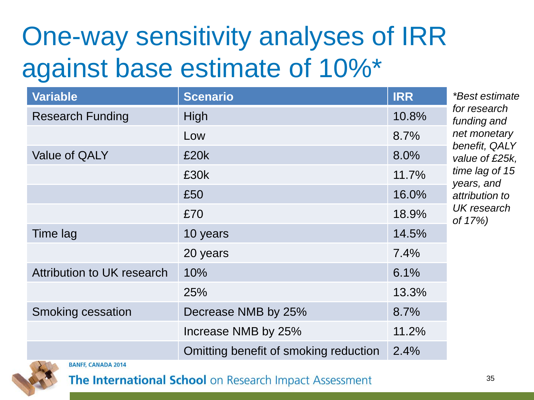#### One-way sensitivity analyses of IRR against base estimate of 10%\*

| <b>Scenario</b>                       | <b>IRR</b> | *Best estimate                                                                                                                                             |  |
|---------------------------------------|------------|------------------------------------------------------------------------------------------------------------------------------------------------------------|--|
| High                                  | 10.8%      | for research<br>funding and<br>net monetary<br>benefit, QALY<br>value of £25k,<br>time lag of 15<br>years, and<br>attribution to<br>UK research<br>of 17%) |  |
| Low                                   | 8.7%       |                                                                                                                                                            |  |
| £20k                                  | 8.0%       |                                                                                                                                                            |  |
| £30k                                  | 11.7%      |                                                                                                                                                            |  |
| £50                                   | 16.0%      |                                                                                                                                                            |  |
| £70                                   | 18.9%      |                                                                                                                                                            |  |
| 10 years                              | 14.5%      |                                                                                                                                                            |  |
| 20 years                              | 7.4%       |                                                                                                                                                            |  |
| 10%                                   | 6.1%       |                                                                                                                                                            |  |
| 25%                                   | 13.3%      |                                                                                                                                                            |  |
| Decrease NMB by 25%                   | 8.7%       |                                                                                                                                                            |  |
| Increase NMB by 25%                   | 11.2%      |                                                                                                                                                            |  |
| Omitting benefit of smoking reduction | 2.4%       |                                                                                                                                                            |  |
|                                       |            |                                                                                                                                                            |  |

![](_page_34_Picture_2.jpeg)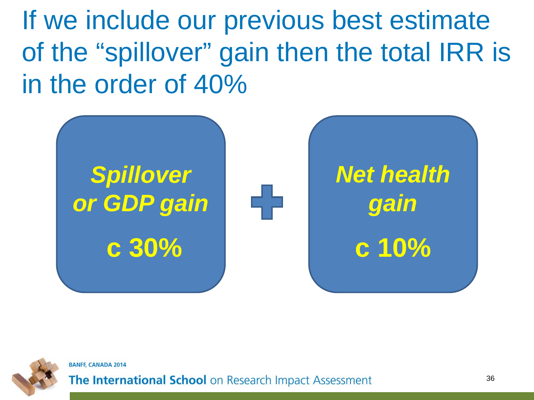If we include our previous best estimate of the "spillover" gain then the total IRR is in the order of 40%

![](_page_35_Figure_1.jpeg)

![](_page_35_Picture_2.jpeg)

**BANFF, CANADA 2014**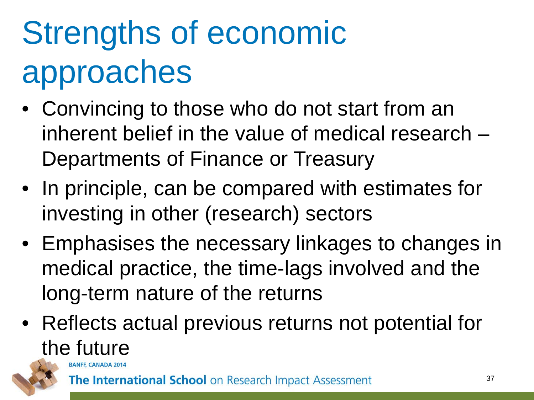# Strengths of economic approaches

- Convincing to those who do not start from an inherent belief in the value of medical research – Departments of Finance or Treasury
- In principle, can be compared with estimates for investing in other (research) sectors
- Emphasises the necessary linkages to changes in medical practice, the time-lags involved and the long-term nature of the returns
- Reflects actual previous returns not potential for the future

![](_page_36_Picture_5.jpeg)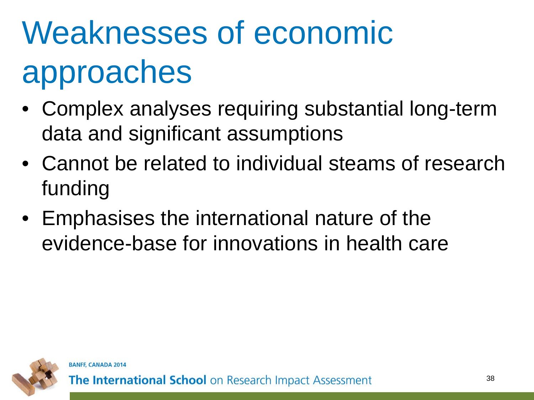# Weaknesses of economic approaches

- Complex analyses requiring substantial long-term data and significant assumptions
- Cannot be related to individual steams of research funding
- Emphasises the international nature of the evidence-base for innovations in health care

![](_page_37_Picture_4.jpeg)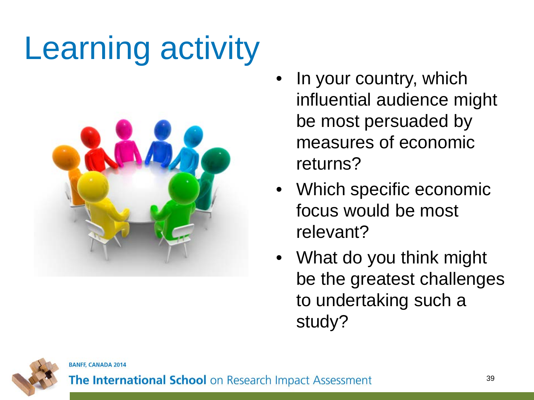## Learning activity

![](_page_38_Picture_1.jpeg)

- In your country, which influential audience might be most persuaded by measures of economic returns?
- Which specific economic focus would be most relevant?
- What do you think might be the greatest challenges to undertaking such a study?

![](_page_38_Picture_5.jpeg)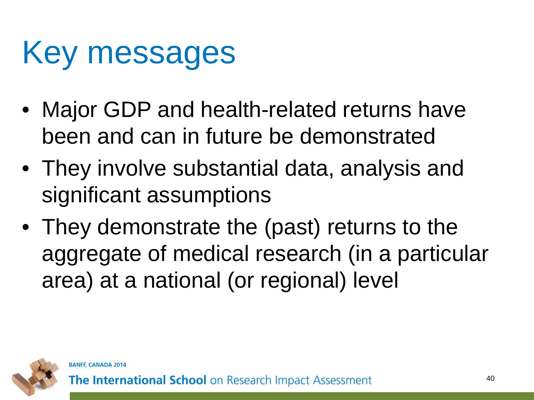#### Key messages

- Major GDP and health-related returns have been and can in future be demonstrated
- They involve substantial data, analysis and significant assumptions
- They demonstrate the (past) returns to the aggregate of medical research (in a particular area) at a national (or regional) level

![](_page_39_Picture_4.jpeg)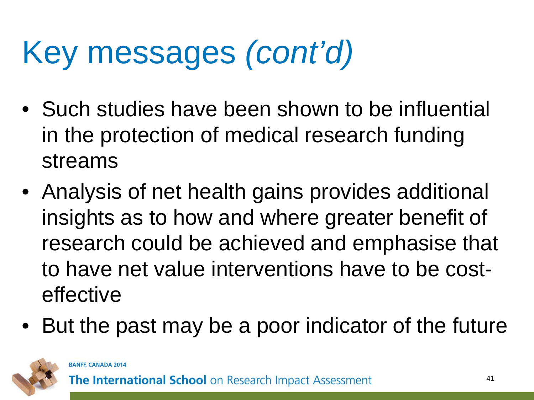## Key messages *(cont'd)*

- Such studies have been shown to be influential in the protection of medical research funding streams
- Analysis of net health gains provides additional insights as to how and where greater benefit of research could be achieved and emphasise that to have net value interventions have to be costeffective
- But the past may be a poor indicator of the future

![](_page_40_Picture_4.jpeg)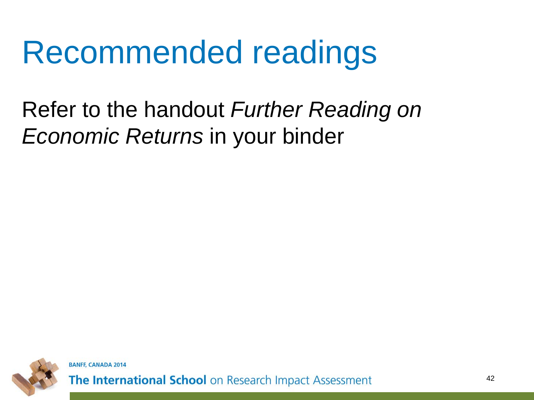#### Recommended readings

#### Refer to the handout *Further Reading on Economic Returns* in your binder

![](_page_41_Picture_2.jpeg)